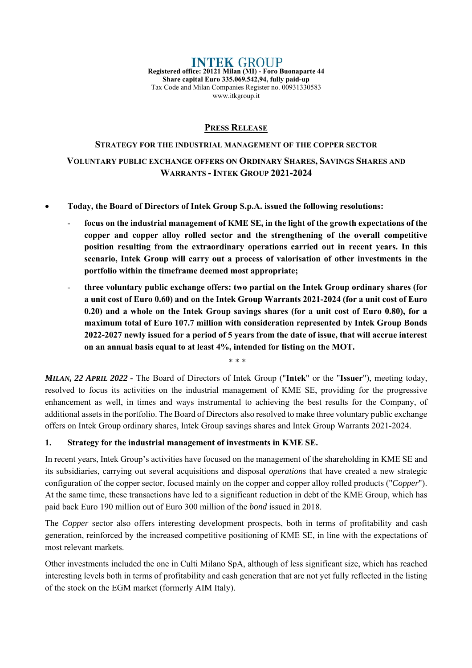**INTEK GROUP Registered office: 20121 Milan (MI) - Foro Buonaparte 44 Share capital Euro 335.069.542,94, fully paid-up**  Tax Code and Milan Companies Register no. 00931330583 www.itkgroup.it

### **PRESS RELEASE**

# **STRATEGY FOR THE INDUSTRIAL MANAGEMENT OF THE COPPER SECTOR VOLUNTARY PUBLIC EXCHANGE OFFERS ON ORDINARY SHARES, SAVINGS SHARES AND WARRANTS - INTEK GROUP 2021-2024**

- **Today, the Board of Directors of Intek Group S.p.A. issued the following resolutions:** 
	- focus on the industrial management of KME SE, in the light of the growth expectations of the **copper and copper alloy rolled sector and the strengthening of the overall competitive position resulting from the extraordinary operations carried out in recent years. In this scenario, Intek Group will carry out a process of valorisation of other investments in the portfolio within the timeframe deemed most appropriate;**
	- **three voluntary public exchange offers: two partial on the Intek Group ordinary shares (for a unit cost of Euro 0.60) and on the Intek Group Warrants 2021-2024 (for a unit cost of Euro 0.20) and a whole on the Intek Group savings shares (for a unit cost of Euro 0.80), for a maximum total of Euro 107.7 million with consideration represented by Intek Group Bonds 2022-2027 newly issued for a period of 5 years from the date of issue, that will accrue interest on an annual basis equal to at least 4%, intended for listing on the MOT.**

*MILAN, 22 APRIL 2022 -* The Board of Directors of Intek Group ("**Intek**" or the "**Issuer**"), meeting today, resolved to focus its activities on the industrial management of KME SE, providing for the progressive enhancement as well, in times and ways instrumental to achieving the best results for the Company, of additional assets in the portfolio. The Board of Directors also resolved to make three voluntary public exchange offers on Intek Group ordinary shares, Intek Group savings shares and Intek Group Warrants 2021-2024.

\* \* \*

#### **1. Strategy for the industrial management of investments in KME SE.**

In recent years, Intek Group's activities have focused on the management of the shareholding in KME SE and its subsidiaries, carrying out several acquisitions and disposal *operations* that have created a new strategic configuration of the copper sector, focused mainly on the copper and copper alloy rolled products ("*Copper*"). At the same time, these transactions have led to a significant reduction in debt of the KME Group, which has paid back Euro 190 million out of Euro 300 million of the *bond* issued in 2018.

The *Copper* sector also offers interesting development prospects, both in terms of profitability and cash generation, reinforced by the increased competitive positioning of KME SE, in line with the expectations of most relevant markets.

Other investments included the one in Culti Milano SpA, although of less significant size, which has reached interesting levels both in terms of profitability and cash generation that are not yet fully reflected in the listing of the stock on the EGM market (formerly AIM Italy).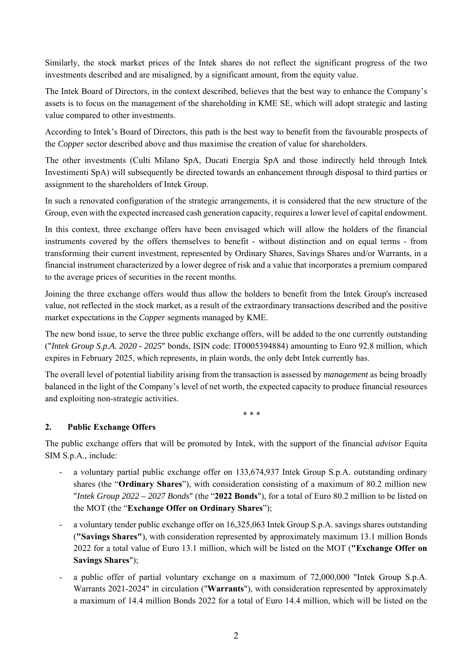Similarly, the stock market prices of the Intek shares do not reflect the significant progress of the two investments described and are misaligned, by a significant amount, from the equity value.

The Intek Board of Directors, in the context described, believes that the best way to enhance the Company's assets is to focus on the management of the shareholding in KME SE, which will adopt strategic and lasting value compared to other investments.

According to Intek's Board of Directors, this path is the best way to benefit from the favourable prospects of the *Copper* sector described above and thus maximise the creation of value for shareholders.

The other investments (Culti Milano SpA, Ducati Energia SpA and those indirectly held through Intek Investimenti SpA) will subsequently be directed towards an enhancement through disposal to third parties or assignment to the shareholders of Intek Group.

In such a renovated configuration of the strategic arrangements, it is considered that the new structure of the Group, even with the expected increased cash generation capacity, requires a lower level of capital endowment.

In this context, three exchange offers have been envisaged which will allow the holders of the financial instruments covered by the offers themselves to benefit - without distinction and on equal terms - from transforming their current investment, represented by Ordinary Shares, Savings Shares and/or Warrants, in a financial instrument characterized by a lower degree of risk and a value that incorporates a premium compared to the average prices of securities in the recent months.

Joining the three exchange offers would thus allow the holders to benefit from the Intek Group's increased value, not reflected in the stock market, as a result of the extraordinary transactions described and the positive market expectations in the *Copper* segments managed by KME.

The new bond issue, to serve the three public exchange offers, will be added to the one currently outstanding ("*Intek Group S.p.A. 2020 - 2025*" bonds, ISIN code: IT0005394884) amounting to Euro 92.8 million, which expires in February 2025, which represents, in plain words, the only debt Intek currently has.

The overall level of potential liability arising from the transaction is assessed by *management* as being broadly balanced in the light of the Company's level of net worth, the expected capacity to produce financial resources and exploiting non-strategic activities.

\* \* \*

## **2. Public Exchange Offers**

The public exchange offers that will be promoted by Intek, with the support of the financial *advisor* Equita SIM S.p.A., include:

- a voluntary partial public exchange offer on 133,674,937 Intek Group S.p.A. outstanding ordinary shares (the "**Ordinary Shares**"), with consideration consisting of a maximum of 80.2 million new "*Intek Group 2022 – 2027 Bonds*" (the "**2022 Bonds**"), for a total of Euro 80.2 million to be listed on the MOT (the "**Exchange Offer on Ordinary Shares**");
- a voluntary tender public exchange offer on 16,325,063 Intek Group S.p.A. savings shares outstanding (**"Savings Shares"**), with consideration represented by approximately maximum 13.1 million Bonds 2022 for a total value of Euro 13.1 million, which will be listed on the MOT (**"Exchange Offer on Savings Shares**");
- a public offer of partial voluntary exchange on a maximum of 72,000,000 "Intek Group S.p.A. Warrants 2021-2024" in circulation ("**Warrants**"), with consideration represented by approximately a maximum of 14.4 million Bonds 2022 for a total of Euro 14.4 million, which will be listed on the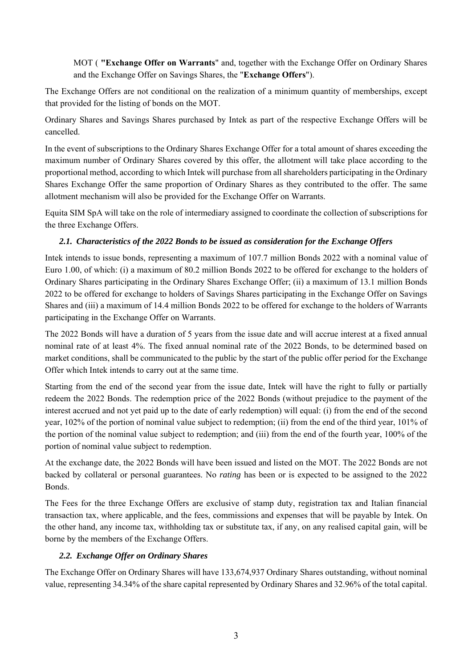MOT ( **"Exchange Offer on Warrants**" and, together with the Exchange Offer on Ordinary Shares and the Exchange Offer on Savings Shares, the "**Exchange Offers**").

The Exchange Offers are not conditional on the realization of a minimum quantity of memberships, except that provided for the listing of bonds on the MOT.

Ordinary Shares and Savings Shares purchased by Intek as part of the respective Exchange Offers will be cancelled.

In the event of subscriptions to the Ordinary Shares Exchange Offer for a total amount of shares exceeding the maximum number of Ordinary Shares covered by this offer, the allotment will take place according to the proportional method, according to which Intek will purchase from all shareholders participating in the Ordinary Shares Exchange Offer the same proportion of Ordinary Shares as they contributed to the offer. The same allotment mechanism will also be provided for the Exchange Offer on Warrants.

Equita SIM SpA will take on the role of intermediary assigned to coordinate the collection of subscriptions for the three Exchange Offers.

## *2.1. Characteristics of the 2022 Bonds to be issued as consideration for the Exchange Offers*

Intek intends to issue bonds, representing a maximum of 107.7 million Bonds 2022 with a nominal value of Euro 1.00, of which: (i) a maximum of 80.2 million Bonds 2022 to be offered for exchange to the holders of Ordinary Shares participating in the Ordinary Shares Exchange Offer; (ii) a maximum of 13.1 million Bonds 2022 to be offered for exchange to holders of Savings Shares participating in the Exchange Offer on Savings Shares and (iii) a maximum of 14.4 million Bonds 2022 to be offered for exchange to the holders of Warrants participating in the Exchange Offer on Warrants.

The 2022 Bonds will have a duration of 5 years from the issue date and will accrue interest at a fixed annual nominal rate of at least 4%. The fixed annual nominal rate of the 2022 Bonds, to be determined based on market conditions, shall be communicated to the public by the start of the public offer period for the Exchange Offer which Intek intends to carry out at the same time.

Starting from the end of the second year from the issue date, Intek will have the right to fully or partially redeem the 2022 Bonds. The redemption price of the 2022 Bonds (without prejudice to the payment of the interest accrued and not yet paid up to the date of early redemption) will equal: (i) from the end of the second year, 102% of the portion of nominal value subject to redemption; (ii) from the end of the third year, 101% of the portion of the nominal value subject to redemption; and (iii) from the end of the fourth year, 100% of the portion of nominal value subject to redemption.

At the exchange date, the 2022 Bonds will have been issued and listed on the MOT. The 2022 Bonds are not backed by collateral or personal guarantees. No *rating* has been or is expected to be assigned to the 2022 Bonds.

The Fees for the three Exchange Offers are exclusive of stamp duty, registration tax and Italian financial transaction tax, where applicable, and the fees, commissions and expenses that will be payable by Intek. On the other hand, any income tax, withholding tax or substitute tax, if any, on any realised capital gain, will be borne by the members of the Exchange Offers.

## *2.2. Exchange Offer on Ordinary Shares*

The Exchange Offer on Ordinary Shares will have 133,674,937 Ordinary Shares outstanding, without nominal value, representing 34.34% of the share capital represented by Ordinary Shares and 32.96% of the total capital.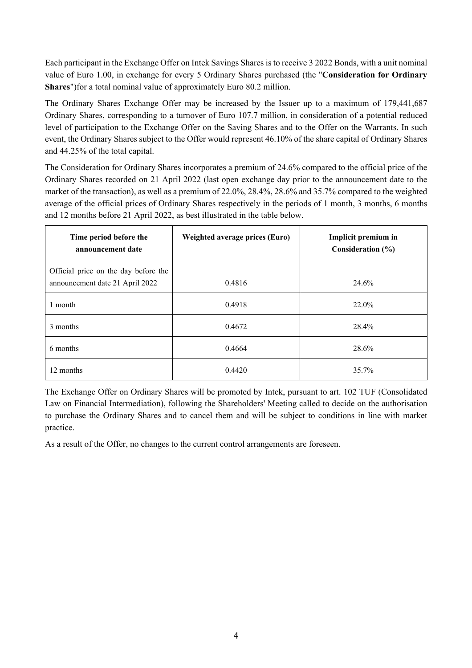Each participant in the Exchange Offer on Intek Savings Shares is to receive 3 2022 Bonds, with a unit nominal value of Euro 1.00, in exchange for every 5 Ordinary Shares purchased (the "**Consideration for Ordinary Shares**")for a total nominal value of approximately Euro 80.2 million.

The Ordinary Shares Exchange Offer may be increased by the Issuer up to a maximum of 179,441,687 Ordinary Shares, corresponding to a turnover of Euro 107.7 million, in consideration of a potential reduced level of participation to the Exchange Offer on the Saving Shares and to the Offer on the Warrants. In such event, the Ordinary Shares subject to the Offer would represent 46.10% of the share capital of Ordinary Shares and 44.25% of the total capital.

The Consideration for Ordinary Shares incorporates a premium of 24.6% compared to the official price of the Ordinary Shares recorded on 21 April 2022 (last open exchange day prior to the announcement date to the market of the transaction), as well as a premium of 22.0%, 28.4%, 28.6% and 35.7% compared to the weighted average of the official prices of Ordinary Shares respectively in the periods of 1 month, 3 months, 6 months and 12 months before 21 April 2022, as best illustrated in the table below.

| Time period before the<br>announcement date                             | Weighted average prices (Euro) | Implicit premium in<br>Consideration (%) |
|-------------------------------------------------------------------------|--------------------------------|------------------------------------------|
| Official price on the day before the<br>announcement date 21 April 2022 | 0.4816                         | 24.6%                                    |
| 1 month                                                                 | 0.4918                         | 22.0%                                    |
| 3 months                                                                | 0.4672                         | 28.4%                                    |
| 6 months                                                                | 0.4664                         | 28.6%                                    |
| 12 months                                                               | 0.4420                         | 35.7%                                    |

The Exchange Offer on Ordinary Shares will be promoted by Intek, pursuant to art. 102 TUF (Consolidated Law on Financial Intermediation), following the Shareholders' Meeting called to decide on the authorisation to purchase the Ordinary Shares and to cancel them and will be subject to conditions in line with market practice.

As a result of the Offer, no changes to the current control arrangements are foreseen.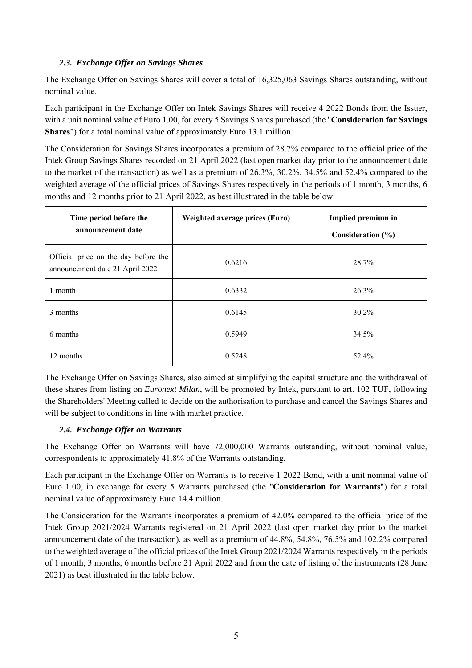### *2.3. Exchange Offer on Savings Shares*

The Exchange Offer on Savings Shares will cover a total of 16,325,063 Savings Shares outstanding, without nominal value.

Each participant in the Exchange Offer on Intek Savings Shares will receive 4 2022 Bonds from the Issuer, with a unit nominal value of Euro 1.00, for every 5 Savings Shares purchased (the "**Consideration for Savings Shares**") for a total nominal value of approximately Euro 13.1 million.

The Consideration for Savings Shares incorporates a premium of 28.7% compared to the official price of the Intek Group Savings Shares recorded on 21 April 2022 (last open market day prior to the announcement date to the market of the transaction) as well as a premium of 26.3%, 30.2%, 34.5% and 52.4% compared to the weighted average of the official prices of Savings Shares respectively in the periods of 1 month, 3 months, 6 months and 12 months prior to 21 April 2022, as best illustrated in the table below.

| Time period before the<br>announcement date                             | Weighted average prices (Euro) | Implied premium in<br>Consideration (%) |
|-------------------------------------------------------------------------|--------------------------------|-----------------------------------------|
| Official price on the day before the<br>announcement date 21 April 2022 | 0.6216                         | 28.7%                                   |
| 1 month                                                                 | 0.6332                         | 26.3%                                   |
| 3 months                                                                | 0.6145                         | $30.2\%$                                |
| 6 months                                                                | 0.5949                         | 34.5%                                   |
| 12 months                                                               | 0.5248                         | 52.4%                                   |

The Exchange Offer on Savings Shares, also aimed at simplifying the capital structure and the withdrawal of these shares from listing on *Euronext Milan*, will be promoted by Intek, pursuant to art. 102 TUF, following the Shareholders' Meeting called to decide on the authorisation to purchase and cancel the Savings Shares and will be subject to conditions in line with market practice.

#### *2.4. Exchange Offer on Warrants*

The Exchange Offer on Warrants will have 72,000,000 Warrants outstanding, without nominal value, correspondents to approximately 41.8% of the Warrants outstanding.

Each participant in the Exchange Offer on Warrants is to receive 1 2022 Bond, with a unit nominal value of Euro 1.00, in exchange for every 5 Warrants purchased (the "**Consideration for Warrants**") for a total nominal value of approximately Euro 14.4 million.

The Consideration for the Warrants incorporates a premium of 42.0% compared to the official price of the Intek Group 2021/2024 Warrants registered on 21 April 2022 (last open market day prior to the market announcement date of the transaction), as well as a premium of 44.8%, 54.8%, 76.5% and 102.2% compared to the weighted average of the official prices of the Intek Group 2021/2024 Warrants respectively in the periods of 1 month, 3 months, 6 months before 21 April 2022 and from the date of listing of the instruments (28 June 2021) as best illustrated in the table below.